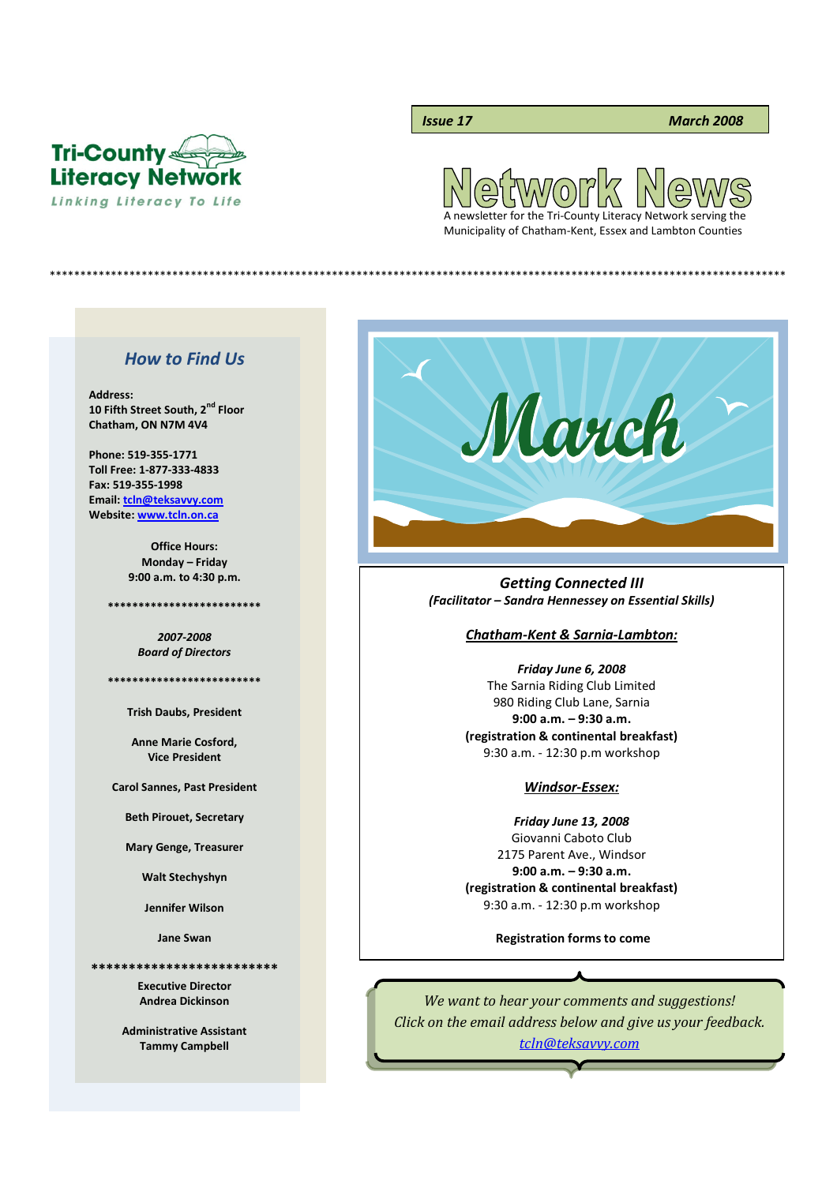

## *Issue 17 March 2008*

 $\Omega$ A newsletter for the Tri-County Literacy Network serving the

Municipality of Chatham-Kent, Essex and Lambton Counties

\*\*\*\*\*\*\*\*\*\*\*\*\*\*\*\*\*\*\*\*\*\*\*\*\*\*\*\*\*\*\*\*\*\*\*\*\*\*\*\*\*\*\*\*\*\*\*\*\*\*\*\*\*\*\*\*\*\*\*\*\*\*\*\*\*\*\*\*\*\*\*\*\*\*\*\*\*\*\*\*\*\*\*\*\*\*\*\*\*\*\*\*\*\*\*\*\*\*\*\*\*\*\*\*\*\*\*\*\*\*\*\*\*\*\*\*\*\*\*\*

# *How to Find Us*

**Address: 10 Fifth Street South, 2nd Floor Chatham, ON N7M 4V4**

**Phone: 519-355-1771 Toll Free: 1-877-333-4833 Fax: 519-355-1998 Email: tcln@teksavvy.com Website: www.tcln.on.ca**

> **Office Hours: Monday – Friday 9:00 a.m. to 4:30 p.m.**

**\*\*\*\*\*\*\*\*\*\*\*\*\*\*\*\*\*\*\*\*\*\*\*\*\***

*2007-2008 Board of Directors*

**\*\*\*\*\*\*\*\*\*\*\*\*\*\*\*\*\*\*\*\*\*\*\*\*\***

**Trish Daubs, President**

**Anne Marie Cosford, Vice President**

**Carol Sannes, Past President**

**Beth Pirouet, Secretary**

**Mary Genge, Treasurer**

**Walt Stechyshyn**

**Jennifer Wilson**

**Jane Swan**

**\*\*\*\*\*\*\*\*\*\*\*\*\*\*\*\*\*\*\*\*\*\*\*\*\***

**Executive Director Andrea Dickinson**

**Administrative Assistant Tammy Campbell**



## *Getting Connected III (Facilitator – Sandra Hennessey on Essential Skills)*

#### *Chatham-Kent & Sarnia-Lambton:*

*Friday June 6, 2008* The Sarnia Riding Club Limited 980 Riding Club Lane, Sarnia **9:00 a.m. – 9:30 a.m. (registration & continental breakfast)** 9:30 a.m. - 12:30 p.m workshop

#### *Windsor-Essex:*

*Friday June 13, 2008* Giovanni Caboto Club 2175 Parent Ave., Windsor **9:00 a.m. – 9:30 a.m. (registration & continental breakfast)** 9:30 a.m. - 12:30 p.m workshop

**Registration forms to come**

*We want to hear your comments and suggestions! Click on the email address below and give us your feedback. tcln@teksavvy.com*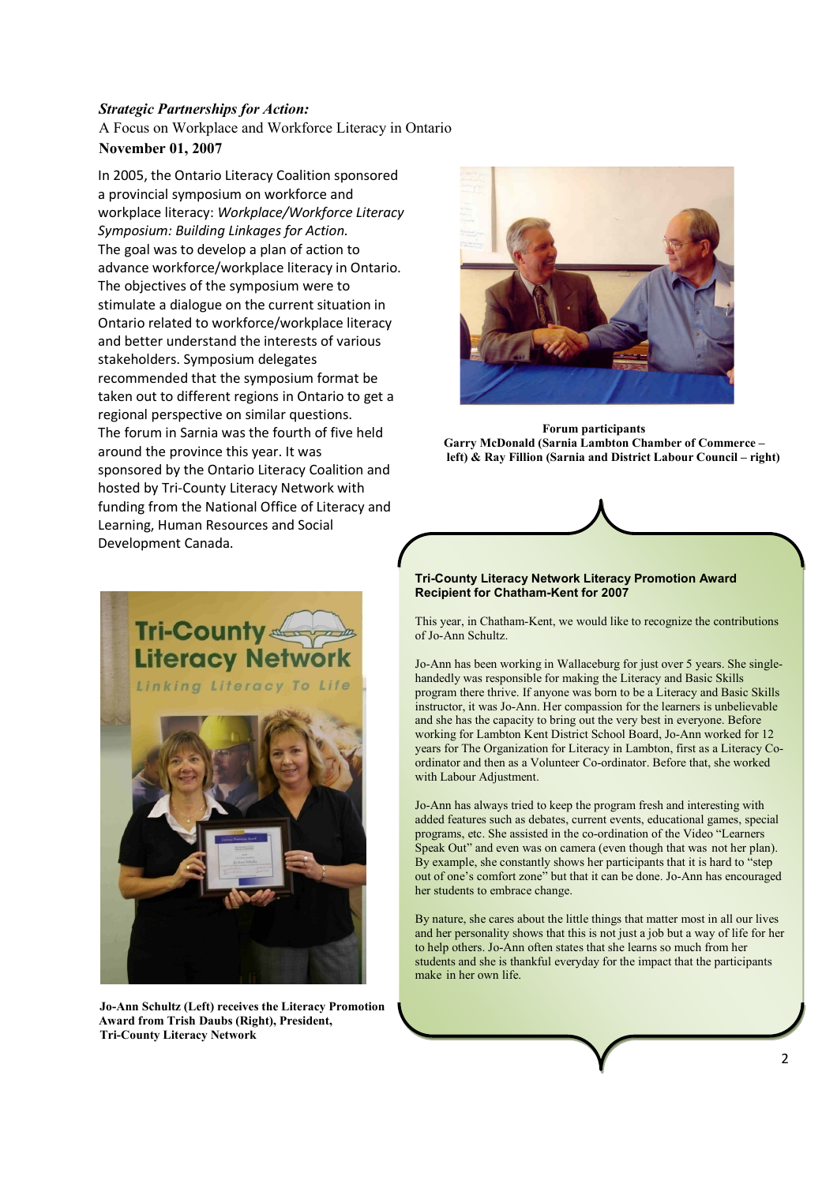## *Strategic Partnerships for Action:*

A Focus on Workplace and Workforce Literacy in Ontario **November 01, 2007**

In 2005, the Ontario Literacy Coalition sponsored a provincial symposium on workforce and workplace literacy: *Workplace/Workforce Literacy Symposium: Building Linkages for Action.* The goal was to develop a plan of action to advance workforce/workplace literacy in Ontario. The objectives of the symposium were to stimulate a dialogue on the current situation in Ontario related to workforce/workplace literacy and better understand the interests of various stakeholders. Symposium delegates recommended that the symposium format be taken out to different regions in Ontario to get a regional perspective on similar questions. The forum in Sarnia was the fourth of five held around the province this year. It was sponsored by the Ontario Literacy Coalition and hosted by Tri-County Literacy Network with funding from the National Office of Literacy and Learning, Human Resources and Social Development Canada.



**Jo-Ann Schultz (Left) receives the Literacy Promotion Award from Trish Daubs (Right), President, Tri-County Literacy Network**



**Forum participants Garry McDonald (Sarnia Lambton Chamber of Commerce – left) & Ray Fillion (Sarnia and District Labour Council – right)**

### **Tri-County Literacy Network Literacy Promotion Award Recipient for Chatham-Kent for 2007**

This year, in Chatham-Kent, we would like to recognize the contributions of Jo-Ann Schultz.

Jo-Ann has been working in Wallaceburg for just over 5 years. She singlehandedly was responsible for making the Literacy and Basic Skills program there thrive. If anyone was born to be a Literacy and Basic Skills instructor, it was Jo-Ann. Her compassion for the learners is unbelievable and she has the capacity to bring out the very best in everyone. Before working for Lambton Kent District School Board, Jo-Ann worked for 12 years for The Organization for Literacy in Lambton, first as a Literacy Coordinator and then as a Volunteer Co-ordinator. Before that, she worked with Labour Adjustment.

Jo-Ann has always tried to keep the program fresh and interesting with added features such as debates, current events, educational games, special programs, etc. She assisted in the co-ordination of the Video "Learners Speak Out" and even was on camera (even though that was not her plan). By example, she constantly shows her participants that it is hard to "step out of one's comfort zone" but that it can be done. Jo-Ann has encouraged her students to embrace change.

By nature, she cares about the little things that matter most in all our lives and her personality shows that this is not just a job but a way of life for her to help others. Jo-Ann often states that she learns so much from her students and she is thankful everyday for the impact that the participants make in her own life.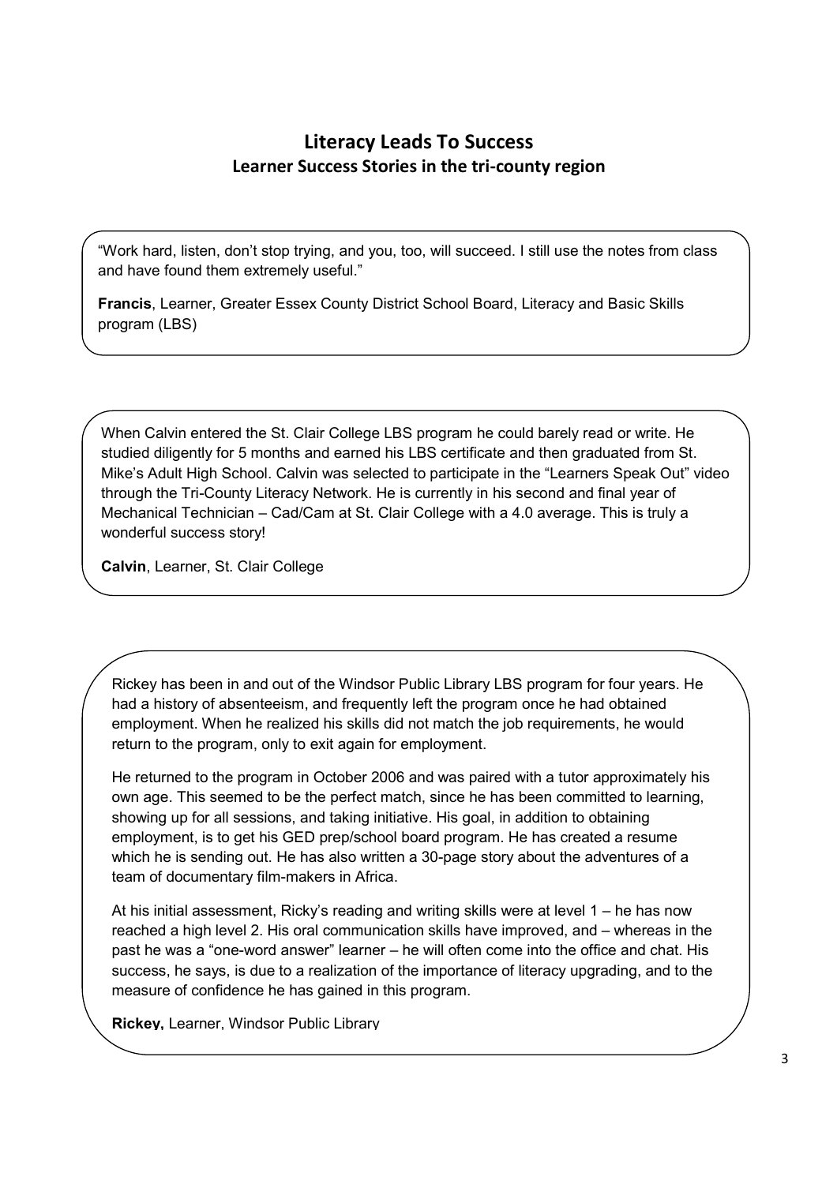# **Literacy Leads To Success Learner Success Stories in the tri-county region**

"Work hard, listen, don't stop trying, and you, too, will succeed. I still use the notes from class and have found them extremely useful."

**Francis**, Learner, Greater Essex County District School Board, Literacy and Basic Skills program (LBS)

When Calvin entered the St. Clair College LBS program he could barely read or write. He studied diligently for 5 months and earned his LBS certificate and then graduated from St. Mike's Adult High School. Calvin was selected to participate in the "Learners Speak Out" video through the Tri-County Literacy Network. He is currently in his second and final year of Mechanical Technician – Cad/Cam at St. Clair College with a 4.0 average. This is truly a wonderful success story!

**Calvin**, Learner, St. Clair College

Rickey has been in and out of the Windsor Public Library LBS program for four years. He had a history of absenteeism, and frequently left the program once he had obtained employment. When he realized his skills did not match the job requirements, he would return to the program, only to exit again for employment.

He returned to the program in October 2006 and was paired with a tutor approximately his own age. This seemed to be the perfect match, since he has been committed to learning, showing up for all sessions, and taking initiative. His goal, in addition to obtaining employment, is to get his GED prep/school board program. He has created a resume which he is sending out. He has also written a 30-page story about the adventures of a team of documentary film-makers in Africa.

At his initial assessment, Ricky's reading and writing skills were at level 1 – he has now reached a high level 2. His oral communication skills have improved, and – whereas in the past he was a "one-word answer" learner – he will often come into the office and chat. His success, he says, is due to a realization of the importance of literacy upgrading, and to the measure of confidence he has gained in this program.

**Rickey,** Learner, Windsor Public Library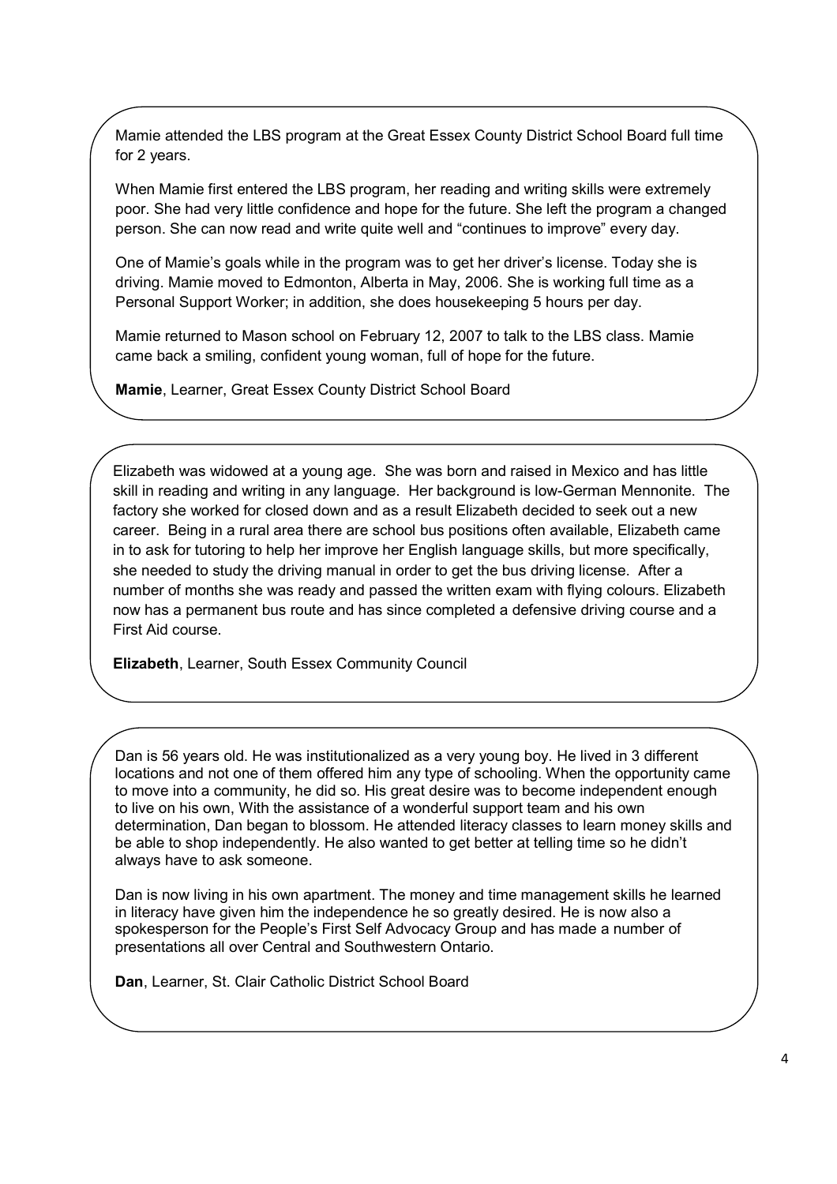Mamie attended the LBS program at the Great Essex County District School Board full time for 2 years.

When Mamie first entered the LBS program, her reading and writing skills were extremely poor. She had very little confidence and hope for the future. She left the program a changed person. She can now read and write quite well and "continues to improve" every day.

One of Mamie's goals while in the program was to get her driver's license. Today she is driving. Mamie moved to Edmonton, Alberta in May, 2006. She is working full time as a Personal Support Worker; in addition, she does housekeeping 5 hours per day.

Mamie returned to Mason school on February 12, 2007 to talk to the LBS class. Mamie came back a smiling, confident young woman, full of hope for the future.

**Mamie**, Learner, Great Essex County District School Board

Elizabeth was widowed at a young age. She was born and raised in Mexico and has little skill in reading and writing in any language. Her background is low-German Mennonite. The factory she worked for closed down and as a result Elizabeth decided to seek out a new career. Being in a rural area there are school bus positions often available, Elizabeth came in to ask for tutoring to help her improve her English language skills, but more specifically, she needed to study the driving manual in order to get the bus driving license. After a number of months she was ready and passed the written exam with flying colours. Elizabeth now has a permanent bus route and has since completed a defensive driving course and a First Aid course.

**Elizabeth**, Learner, South Essex Community Council

Dan is 56 years old. He was institutionalized as a very young boy. He lived in 3 different locations and not one of them offered him any type of schooling. When the opportunity came to move into a community, he did so. His great desire was to become independent enough to live on his own, With the assistance of a wonderful support team and his own determination, Dan began to blossom. He attended literacy classes to learn money skills and be able to shop independently. He also wanted to get better at telling time so he didn't always have to ask someone.

Dan is now living in his own apartment. The money and time management skills he learned in literacy have given him the independence he so greatly desired. He is now also a spokesperson for the People's First Self Advocacy Group and has made a number of presentations all over Central and Southwestern Ontario.

**Dan**, Learner, St. Clair Catholic District School Board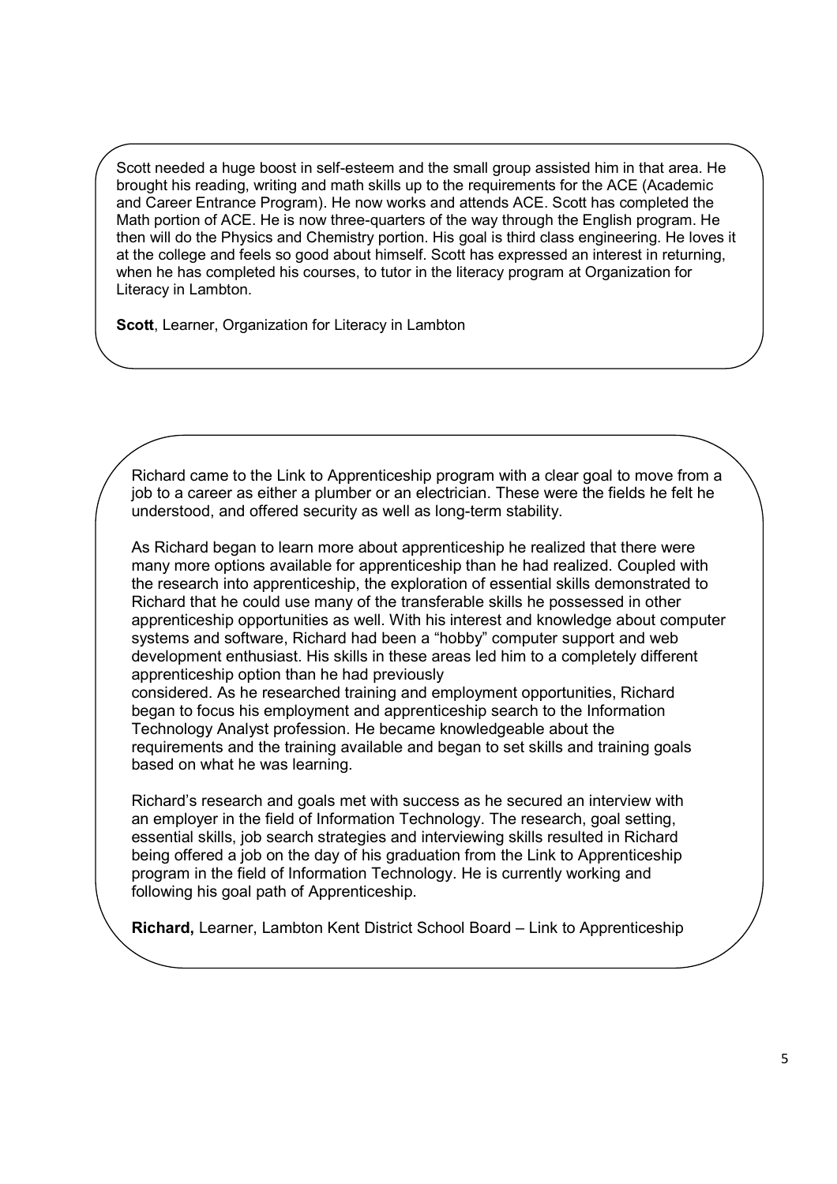Scott needed a huge boost in self-esteem and the small group assisted him in that area. He brought his reading, writing and math skills up to the requirements for the ACE (Academic and Career Entrance Program). He now works and attends ACE. Scott has completed the Math portion of ACE. He is now three-quarters of the way through the English program. He then will do the Physics and Chemistry portion. His goal is third class engineering. He loves it at the college and feels so good about himself. Scott has expressed an interest in returning, when he has completed his courses, to tutor in the literacy program at Organization for Literacy in Lambton.

**Scott**, Learner, Organization for Literacy in Lambton

Richard came to the Link to Apprenticeship program with a clear goal to move from a job to a career as either a plumber or an electrician. These were the fields he felt he understood, and offered security as well as long-term stability.

As Richard began to learn more about apprenticeship he realized that there were many more options available for apprenticeship than he had realized. Coupled with the research into apprenticeship, the exploration of essential skills demonstrated to Richard that he could use many of the transferable skills he possessed in other apprenticeship opportunities as well. With his interest and knowledge about computer systems and software, Richard had been a "hobby" computer support and web development enthusiast. His skills in these areas led him to a completely different apprenticeship option than he had previously

considered. As he researched training and employment opportunities, Richard began to focus his employment and apprenticeship search to the Information Technology Analyst profession. He became knowledgeable about the requirements and the training available and began to set skills and training goals based on what he was learning.

Richard's research and goals met with success as he secured an interview with an employer in the field of Information Technology. The research, goal setting, essential skills, job search strategies and interviewing skills resulted in Richard being offered a job on the day of his graduation from the Link to Apprenticeship program in the field of Information Technology. He is currently working and following his goal path of Apprenticeship.

**Richard,** Learner, Lambton Kent District School Board – Link to Apprenticeship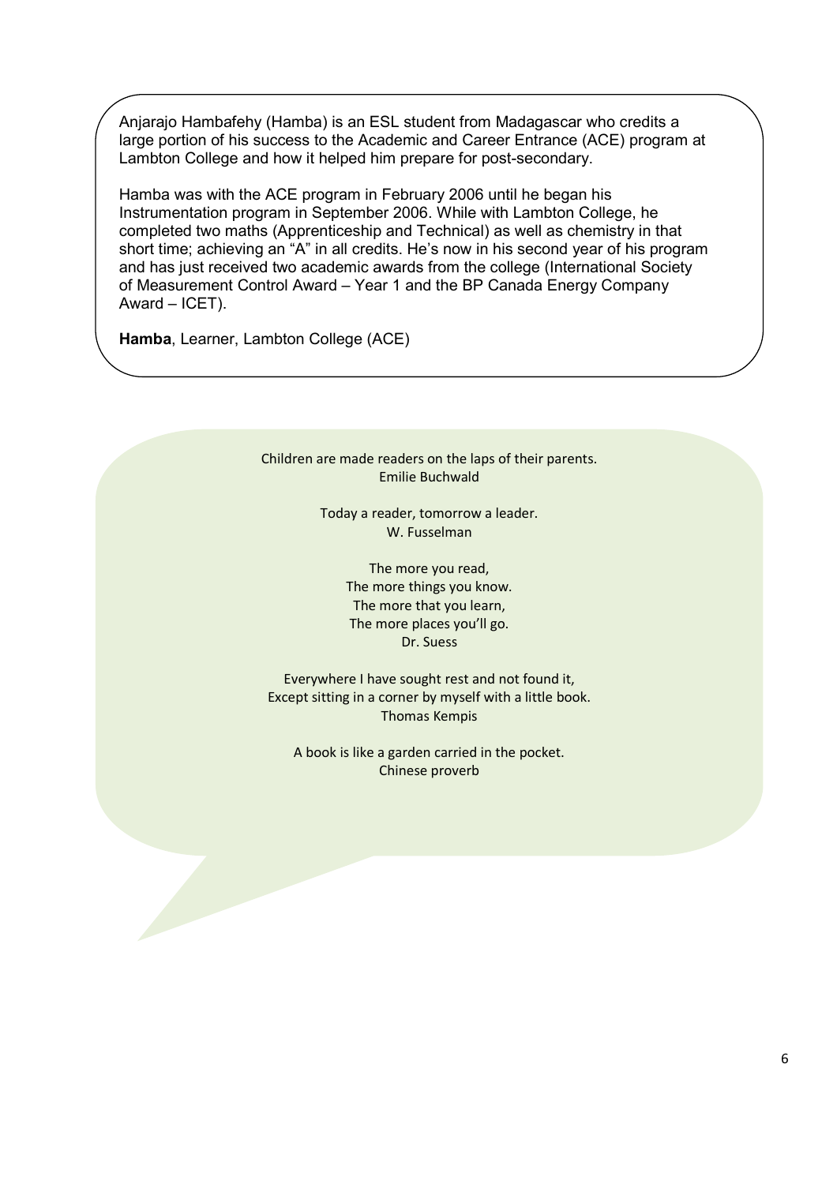Anjarajo Hambafehy (Hamba) is an ESL student from Madagascar who credits a large portion of his success to the Academic and Career Entrance (ACE) program at Lambton College and how it helped him prepare for post-secondary.

Hamba was with the ACE program in February 2006 until he began his Instrumentation program in September 2006. While with Lambton College, he completed two maths (Apprenticeship and Technical) as well as chemistry in that short time; achieving an "A" in all credits. He's now in his second year of his program and has just received two academic awards from the college (International Society of Measurement Control Award – Year 1 and the BP Canada Energy Company Award – ICET).

**Hamba**, Learner, Lambton College (ACE)

Children are made readers on the laps of their parents. Emilie Buchwald

> Today a reader, tomorrow a leader. W. Fusselman

> > The more you read, The more things you know. The more that you learn, The more places you'll go. Dr. Suess

Everywhere I have sought rest and not found it, Except sitting in a corner by myself with a little book. Thomas Kempis

A book is like a garden carried in the pocket. Chinese proverb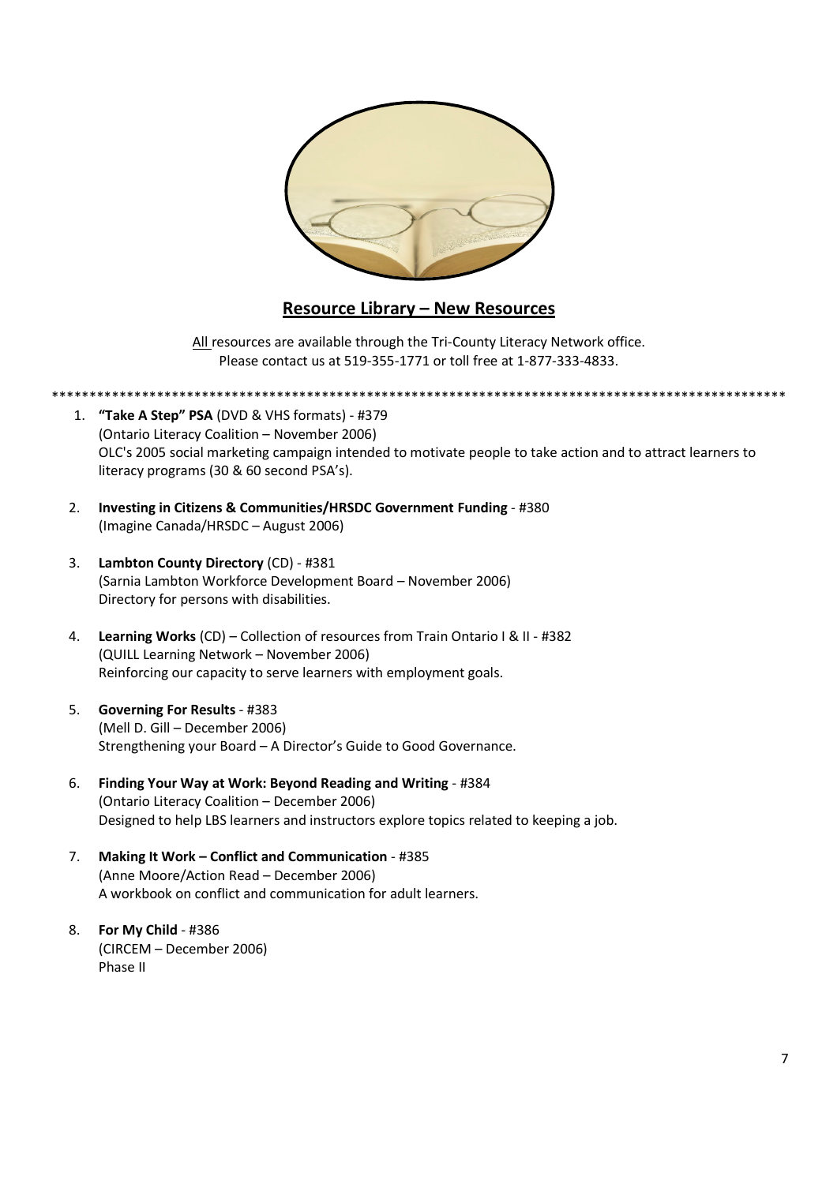

# **Resource Library – New Resources**

All resources are available through the Tri-County Literacy Network office. Please contact us at 519-355-1771 or toll free at 1-877-333-4833.

\*\*\*\*\*\*\*\*\*\*\*\*\*\*\*\*\*\*\*\*\*\*\*\*\*\*\*\*\*\*\*\*\*\*\*\*\*\*\*\*\*\*\*\*\*\*\*\*\*\*\*\*\*\*\*\*\*\*\*\*\*\*\*\*\*\*\*\*\*\*\*\*\*\*\*\*\*\*\*\*\*\*\*\*\*\*\*\*\*\*\*\*\*\*\*\*\*\*

- 1. **"Take A Step" PSA** (DVD & VHS formats) #379 (Ontario Literacy Coalition – November 2006) OLC's 2005 social marketing campaign intended to motivate people to take action and to attract learners to literacy programs (30 & 60 second PSA's).
- 2. **Investing in Citizens & Communities/HRSDC Government Funding** #380 (Imagine Canada/HRSDC – August 2006)
- 3. **Lambton County Directory** (CD) #381 (Sarnia Lambton Workforce Development Board – November 2006) Directory for persons with disabilities.
- 4. **Learning Works** (CD) Collection of resources from Train Ontario I & II #382 (QUILL Learning Network – November 2006) Reinforcing our capacity to serve learners with employment goals.
- 5. **Governing For Results** #383 (Mell D. Gill – December 2006) Strengthening your Board – A Director's Guide to Good Governance.
- 6. **Finding Your Way at Work: Beyond Reading and Writing** #384 (Ontario Literacy Coalition – December 2006) Designed to help LBS learners and instructors explore topics related to keeping a job.
- 7. **Making It Work – Conflict and Communication** #385 (Anne Moore/Action Read – December 2006) A workbook on conflict and communication for adult learners.
- 8. **For My Child** #386 (CIRCEM – December 2006) Phase II